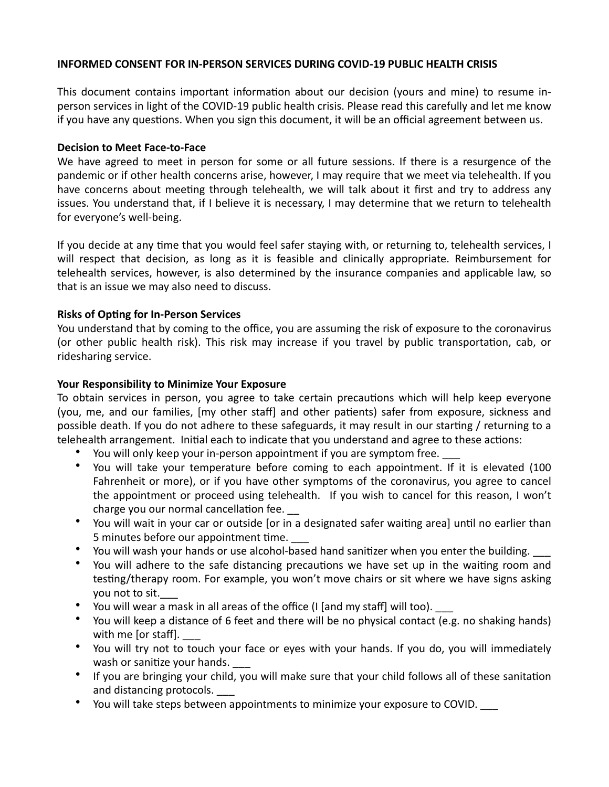### **INFORMED CONSENT FOR IN-PERSON SERVICES DURING COVID-19 PUBLIC HEALTH CRISIS**

This document contains important information about our decision (yours and mine) to resume inperson services in light of the COVID-19 public health crisis. Please read this carefully and let me know if you have any questions. When you sign this document, it will be an official agreement between us.

#### **Decision to Meet Face-to-Face**

We have agreed to meet in person for some or all future sessions. If there is a resurgence of the pandemic or if other health concerns arise, however, I may require that we meet via telehealth. If you have concerns about meeting through telehealth, we will talk about it first and try to address any issues. You understand that, if I believe it is necessary, I may determine that we return to telehealth for everyone's well-being.

If you decide at any time that you would feel safer staying with, or returning to, telehealth services, I will respect that decision, as long as it is feasible and clinically appropriate. Reimbursement for telehealth services, however, is also determined by the insurance companies and applicable law, so that is an issue we may also need to discuss.

### **Risks of Opting for In-Person Services**

You understand that by coming to the office, you are assuming the risk of exposure to the coronavirus (or other public health risk). This risk may increase if you travel by public transportation, cab, or ridesharing service.

### **Your Responsibility to Minimize Your Exposure**

To obtain services in person, you agree to take certain precautions which will help keep everyone (you, me, and our families, [my other staff] and other patients) safer from exposure, sickness and possible death. If you do not adhere to these safeguards, it may result in our starting / returning to a telehealth arrangement. Initial each to indicate that you understand and agree to these actions:

- You will only keep your in-person appointment if you are symptom free.
- You will take your temperature before coming to each appointment. If it is elevated (100 Fahrenheit or more), or if you have other symptoms of the coronavirus, you agree to cancel the appointment or proceed using telehealth. If you wish to cancel for this reason, I won't charge you our normal cancellation fee.
- You will wait in your car or outside [or in a designated safer waiting area] until no earlier than 5 minutes before our appointment time.
- You will wash your hands or use alcohol-based hand sanitizer when you enter the building.
- You will adhere to the safe distancing precautions we have set up in the waiting room and testing/therapy room. For example, you won't move chairs or sit where we have signs asking you not to sit.
- You will wear a mask in all areas of the office (I [and my staff] will too).
- You will keep a distance of 6 feet and there will be no physical contact (e.g. no shaking hands) with me [or staff].
- You will try not to touch your face or eyes with your hands. If you do, you will immediately wash or sanitize your hands.
- If you are bringing your child, you will make sure that your child follows all of these sanitation and distancing protocols.
- You will take steps between appointments to minimize your exposure to COVID.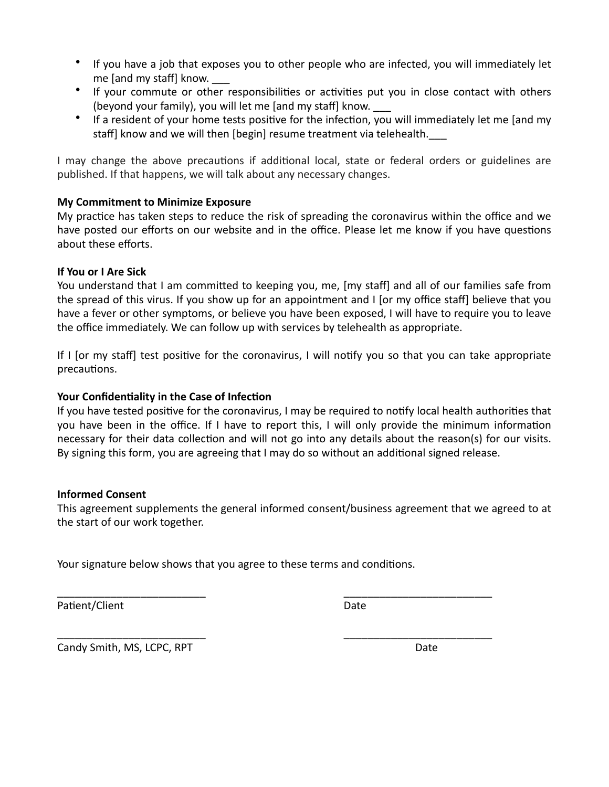- If you have a job that exposes you to other people who are infected, you will immediately let me [and my staff] know.
- If your commute or other responsibilities or activities put you in close contact with others (beyond your family), you will let me [and my staff] know.
- If a resident of your home tests positive for the infection, you will immediately let me [and my staff] know and we will then [begin] resume treatment via telehealth.

I may change the above precautions if additional local, state or federal orders or guidelines are published. If that happens, we will talk about any necessary changes.

# **My Commitment to Minimize Exposure**

My practice has taken steps to reduce the risk of spreading the coronavirus within the office and we have posted our efforts on our website and in the office. Please let me know if you have questions about these efforts.

## **If You or I Are Sick**

You understand that I am committed to keeping you, me, [my staff] and all of our families safe from the spread of this virus. If you show up for an appointment and I [or my office staff] believe that you have a fever or other symptoms, or believe you have been exposed, I will have to require you to leave the office immediately. We can follow up with services by telehealth as appropriate.

If I [or my staff] test positive for the coronavirus, I will notify you so that you can take appropriate precautions.

### Your Confidentiality in the Case of Infection

If you have tested positive for the coronavirus, I may be required to notify local health authorities that you have been in the office. If I have to report this, I will only provide the minimum information necessary for their data collection and will not go into any details about the reason(s) for our visits. By signing this form, you are agreeing that I may do so without an additional signed release.

### **Informed Consent**

This agreement supplements the general informed consent/business agreement that we agreed to at the start of our work together.

\_\_\_\_\_\_\_\_\_\_\_\_\_\_\_\_\_\_\_\_\_\_\_\_\_ \_\_\_\_\_\_\_\_\_\_\_\_\_\_\_\_\_\_\_\_\_\_\_\_\_ 

\_\_\_\_\_\_\_\_\_\_\_\_\_\_\_\_\_\_\_\_\_\_\_\_\_ \_\_\_\_\_\_\_\_\_\_\_\_\_\_\_\_\_\_\_\_\_\_\_\_\_ 

Your signature below shows that you agree to these terms and conditions.

Patient/Client **Date** 

Candy Smith, MS, LCPC, RPT **Business Contract Candy Smith, MS, LCPC**, RPT